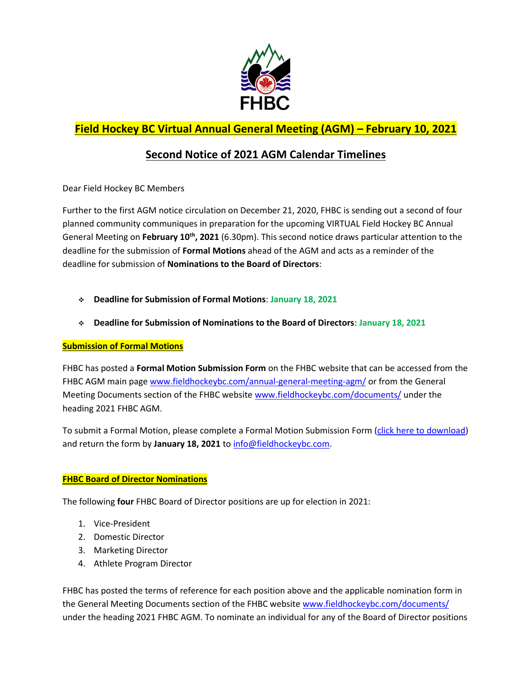

## **Field Hockey BC Virtual Annual General Meeting (AGM) – February 10, 2021**

## **Second Notice of 2021 AGM Calendar Timelines**

Dear Field Hockey BC Members

Further to the first AGM notice circulation on December 21, 2020, FHBC is sending out a second of four planned community communiques in preparation for the upcoming VIRTUAL Field Hockey BC Annual General Meeting on **February 10th, 2021** (6.30pm). This second notice draws particular attention to the deadline for the submission of **Formal Motions** ahead of the AGM and acts as a reminder of the deadline for submission of **Nominations to the Board of Directors**:

- **Deadline for Submission of Formal Motions**: **January 18, 2021**
- **Deadline for Submission of Nominations to the Board of Directors**: **January 18, 2021**

## **Submission of Formal Motions**

FHBC has posted a **Formal Motion Submission Form** on the FHBC website that can be accessed from the FHBC AGM main pag[e www.fieldhockeybc.com/annual-general-meeting-agm/](http://www.fieldhockeybc.com/annual-general-meeting-agm/) or from the General Meeting Documents section of the FHBC website [www.fieldhockeybc.com/documents/](http://www.fieldhockeybc.com/documents/) under the heading 2021 FHBC AGM.

To submit a Formal Motion, please complete a Formal Motion Submission Form [\(click here to download\)](https://fieldhockeybc.com/wp-content/uploads/2021/01/2021-Formal-Motion-Submission-Form.pdf) and return the form by January 18, 2021 to [info@fieldhockeybc.com.](mailto:info@fieldhockeybc.com)

## **FHBC Board of Director Nominations**

The following **four** FHBC Board of Director positions are up for election in 2021:

- 1. Vice-President
- 2. Domestic Director
- 3. Marketing Director
- 4. Athlete Program Director

FHBC has posted the terms of reference for each position above and the applicable nomination form in the General Meeting Documents section of the FHBC website [www.fieldhockeybc.com/documents/](http://www.fieldhockeybc.com/documents/) under the heading 2021 FHBC AGM. To nominate an individual for any of the Board of Director positions